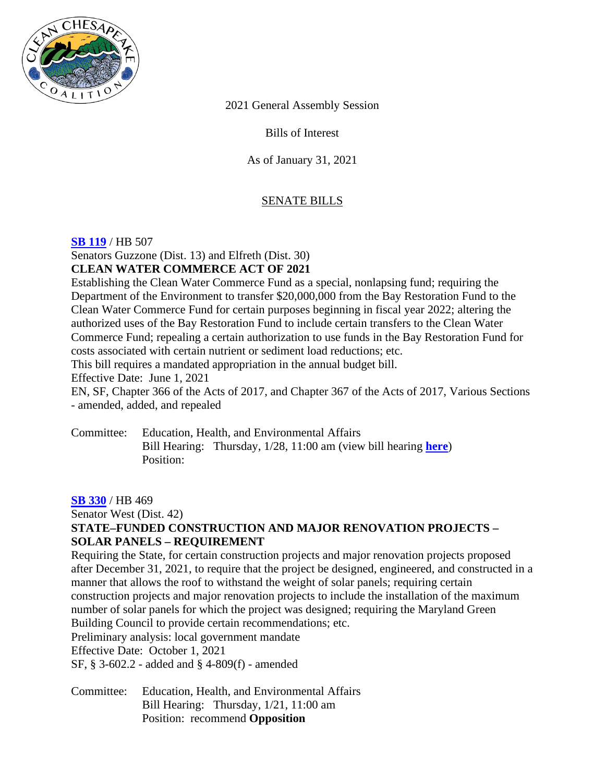

2021 General Assembly Session

Bills of Interest

As of January 31, 2021

# SENATE BILLS

#### **[SB 119](https://mgaleg.maryland.gov/mgawebsite/Legislation/Details/SB0119?ys=2021RS)** / HB 507

Senators Guzzone (Dist. 13) and Elfreth (Dist. 30) **CLEAN WATER COMMERCE ACT OF 2021** 

Establishing the Clean Water Commerce Fund as a special, nonlapsing fund; requiring the Department of the Environment to transfer \$20,000,000 from the Bay Restoration Fund to the Clean Water Commerce Fund for certain purposes beginning in fiscal year 2022; altering the authorized uses of the Bay Restoration Fund to include certain transfers to the Clean Water Commerce Fund; repealing a certain authorization to use funds in the Bay Restoration Fund for costs associated with certain nutrient or sediment load reductions; etc.

This bill requires a mandated appropriation in the annual budget bill.

Effective Date: June 1, 2021

EN, SF, Chapter 366 of the Acts of 2017, and Chapter 367 of the Acts of 2017, Various Sections - amended, added, and repealed

Committee: Education, Health, and Environmental Affairs Bill Hearing: Thursday, 1/28, 11:00 am (view bill hearing **[here](https://mgaleg.maryland.gov/mgawebsite/Committees/Media/false?cmte=ehe&ys=2021RS&clip=EHE_1_28_2021_meeting_1&url=https%3A%2F%2Fmgahouse.maryland.gov%2Fmga%2Fplay%2F673e0ee0-dd15-49e1-97eb-fff2456c03c3%2F%3Fcatalog%2F03e481c7-8a42-4438-a7da-93ff74bdaa4c%26playfrom%3D18258692)**) Position:

#### **[SB 330](https://mgaleg.maryland.gov/mgawebsite/legislation/details/sb0330?ys=2021rs)** / HB 469

Senator West (Dist. 42) **STATE–FUNDED CONSTRUCTION AND MAJOR RENOVATION PROJECTS – SOLAR PANELS – REQUIREMENT** 

Requiring the State, for certain construction projects and major renovation projects proposed after December 31, 2021, to require that the project be designed, engineered, and constructed in a manner that allows the roof to withstand the weight of solar panels; requiring certain construction projects and major renovation projects to include the installation of the maximum number of solar panels for which the project was designed; requiring the Maryland Green Building Council to provide certain recommendations; etc.

Preliminary analysis: local government mandate

Effective Date: October 1, 2021

SF, § 3-602.2 - added and § 4-809(f) - amended

Committee: Education, Health, and Environmental Affairs Bill Hearing: Thursday, 1/21, 11:00 am Position: recommend **Opposition**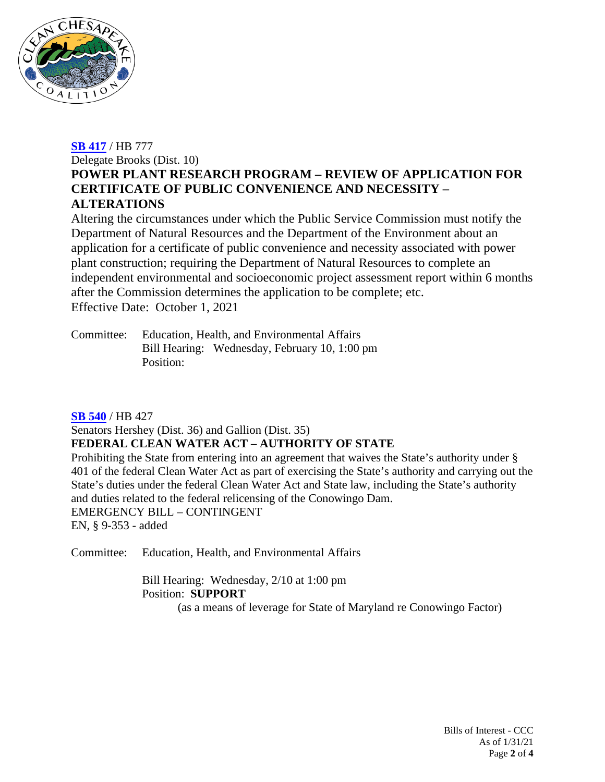

## **[SB 417](https://mgaleg.maryland.gov/mgawebsite/Legislation/Details/SB0417?ys=2021RS)** / HB 777

Delegate Brooks (Dist. 10)

# **POWER PLANT RESEARCH PROGRAM – REVIEW OF APPLICATION FOR CERTIFICATE OF PUBLIC CONVENIENCE AND NECESSITY – ALTERATIONS**

Altering the circumstances under which the Public Service Commission must notify the Department of Natural Resources and the Department of the Environment about an application for a certificate of public convenience and necessity associated with power plant construction; requiring the Department of Natural Resources to complete an independent environmental and socioeconomic project assessment report within 6 months after the Commission determines the application to be complete; etc. Effective Date: October 1, 2021

Committee: Education, Health, and Environmental Affairs Bill Hearing: Wednesday, February 10, 1:00 pm Position:

## **[SB 540](https://mgaleg.maryland.gov/mgawebsite/legislation/details/sb0540?ys=2021rs)** / HB 427

Senators Hershey (Dist. 36) and Gallion (Dist. 35)

## **FEDERAL CLEAN WATER ACT – AUTHORITY OF STATE**

Prohibiting the State from entering into an agreement that waives the State's authority under § 401 of the federal Clean Water Act as part of exercising the State's authority and carrying out the State's duties under the federal Clean Water Act and State law, including the State's authority and duties related to the federal relicensing of the Conowingo Dam. EMERGENCY BILL – CONTINGENT

EN, § 9-353 - added

Committee: Education, Health, and Environmental Affairs

Bill Hearing: Wednesday, 2/10 at 1:00 pm Position: **SUPPORT**

(as a means of leverage for State of Maryland re Conowingo Factor)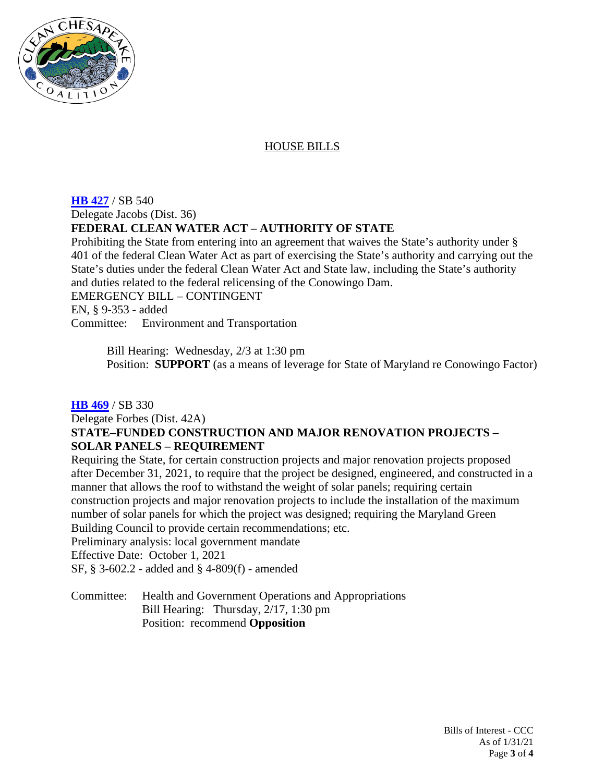

## HOUSE BILLS

#### **[HB 427](https://mgaleg.maryland.gov/mgawebsite/legislation/details/hb0427?ys=2021rs)** / SB 540 Delegate Jacobs (Dist. 36) **FEDERAL CLEAN WATER ACT – AUTHORITY OF STATE**

Prohibiting the State from entering into an agreement that waives the State's authority under § 401 of the federal Clean Water Act as part of exercising the State's authority and carrying out the State's duties under the federal Clean Water Act and State law, including the State's authority and duties related to the federal relicensing of the Conowingo Dam. EMERGENCY BILL – CONTINGENT EN, § 9-353 - added Committee: Environment and Transportation

Bill Hearing: Wednesday, 2/3 at 1:30 pm Position: **SUPPORT** (as a means of leverage for State of Maryland re Conowingo Factor)

## **[HB 469](https://mgaleg.maryland.gov/mgawebsite/legislation/details/hb0469?ys=2021rs)** / SB 330

# Delegate Forbes (Dist. 42A) **STATE–FUNDED CONSTRUCTION AND MAJOR RENOVATION PROJECTS – SOLAR PANELS – REQUIREMENT**

Requiring the State, for certain construction projects and major renovation projects proposed after December 31, 2021, to require that the project be designed, engineered, and constructed in a manner that allows the roof to withstand the weight of solar panels; requiring certain construction projects and major renovation projects to include the installation of the maximum number of solar panels for which the project was designed; requiring the Maryland Green Building Council to provide certain recommendations; etc.

Preliminary analysis: local government mandate

Effective Date: October 1, 2021

SF, § 3-602.2 - added and § 4-809(f) - amended

Committee: Health and Government Operations and Appropriations Bill Hearing: Thursday, 2/17, 1:30 pm Position: recommend **Opposition**